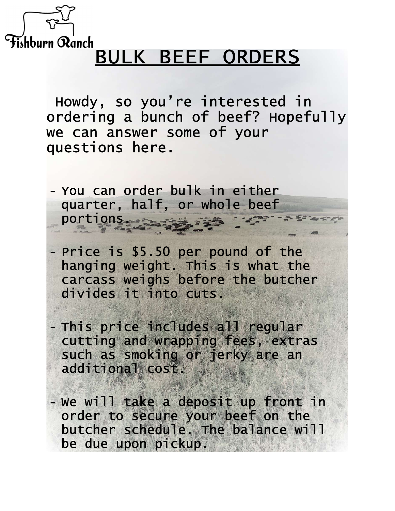

## Fishburn Ranch<br>BULK BEEF ORDERS

 Howdy, so you're interested in ordering a bunch of beef? Hopefully we can answer some of your questions here.

- You can order bulk in either quarter, half, or whole beef portions.

- Price is \$5.50 per pound of the hanging weight. This is what the carcass weighs before the butcher divides it into cuts.

- This price includes all regular cutting and wrapping fees, extras such as smoking or jerky are an additional cost.

- We will take a deposit up front in order to secure your beef on the butcher schedule. The balance will be due upon pickup.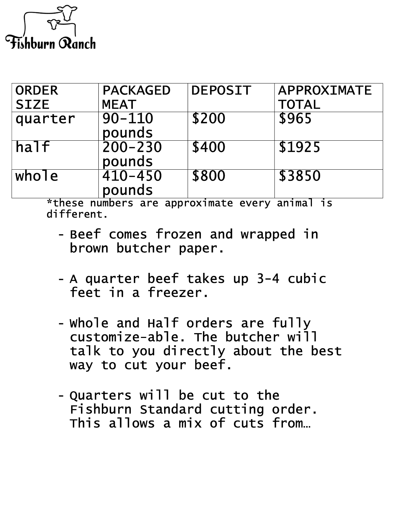

| <b>ORDER</b> | <b>PACKAGED</b>       | <b>DEPOSIT</b> | APPROXIMATE  |
|--------------|-----------------------|----------------|--------------|
| <b>SIZE</b>  | <b>MEAT</b>           |                | <b>TOTAL</b> |
| quarter      | $90 - 110$<br>pounds  | \$200          | \$965        |
| half         | $200 - 230$<br>pounds | \$400          | \$1925       |
| whole        | $410 - 450$<br>pounds | \$800          | \$3850       |

\*these numbers are approximate every animal is different.

- Beef comes frozen and wrapped in brown butcher paper.
- A quarter beef takes up 3-4 cubic feet in a freezer.
- Whole and Half orders are fully customize-able. The butcher will talk to you directly about the best way to cut your beef.
- Quarters will be cut to the Fishburn Standard cutting order. This allows a mix of cuts from...